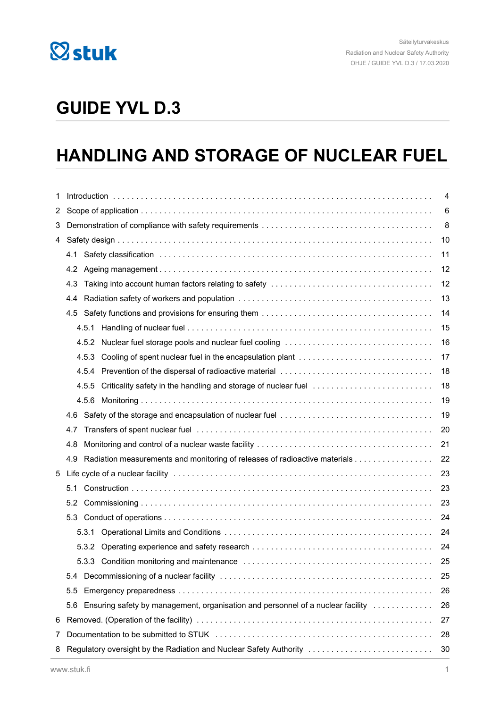

# **GUIDE YVL D.3**

# **HANDLING AND STORAGE OF NUCLEAR FUEL**

| 1     |                                                                                        | 4                                                                        |                                                                            |    |  |  |
|-------|----------------------------------------------------------------------------------------|--------------------------------------------------------------------------|----------------------------------------------------------------------------|----|--|--|
| 2     |                                                                                        | 6                                                                        |                                                                            |    |  |  |
| 3     |                                                                                        | 8                                                                        |                                                                            |    |  |  |
| 4     |                                                                                        |                                                                          |                                                                            |    |  |  |
|       | 4.1                                                                                    |                                                                          |                                                                            |    |  |  |
|       | 4.2                                                                                    |                                                                          |                                                                            |    |  |  |
|       | 4.3                                                                                    |                                                                          |                                                                            |    |  |  |
|       | 4.4                                                                                    |                                                                          |                                                                            |    |  |  |
|       | 4.5                                                                                    |                                                                          |                                                                            |    |  |  |
|       |                                                                                        |                                                                          |                                                                            | 15 |  |  |
|       |                                                                                        | 4.5.2                                                                    | Nuclear fuel storage pools and nuclear fuel cooling                        | 16 |  |  |
|       |                                                                                        | 4.5.3                                                                    | Cooling of spent nuclear fuel in the encapsulation plant                   | 17 |  |  |
|       |                                                                                        | 4.5.4                                                                    |                                                                            | 18 |  |  |
| 4.5.5 |                                                                                        |                                                                          | Criticality safety in the handling and storage of nuclear fuel             | 18 |  |  |
|       |                                                                                        |                                                                          |                                                                            | 19 |  |  |
|       | 4.6                                                                                    |                                                                          |                                                                            |    |  |  |
| 4.7   |                                                                                        |                                                                          |                                                                            |    |  |  |
|       | 4.8                                                                                    |                                                                          |                                                                            | 21 |  |  |
|       | 4.9                                                                                    |                                                                          | Radiation measurements and monitoring of releases of radioactive materials | 22 |  |  |
| 5     |                                                                                        |                                                                          |                                                                            |    |  |  |
|       | 5.1<br>23                                                                              |                                                                          |                                                                            |    |  |  |
|       | 5.2                                                                                    |                                                                          |                                                                            |    |  |  |
| 5.3   |                                                                                        |                                                                          | 24                                                                         |    |  |  |
|       |                                                                                        | 5.3.1                                                                    |                                                                            | 24 |  |  |
|       |                                                                                        |                                                                          |                                                                            | 24 |  |  |
|       |                                                                                        |                                                                          |                                                                            | 25 |  |  |
|       | 5.4                                                                                    |                                                                          |                                                                            | 25 |  |  |
|       | 5.5                                                                                    |                                                                          |                                                                            |    |  |  |
|       | Ensuring safety by management, organisation and personnel of a nuclear facility<br>5.6 |                                                                          |                                                                            |    |  |  |
| 6     |                                                                                        | 27                                                                       |                                                                            |    |  |  |
| 7     |                                                                                        | 28                                                                       |                                                                            |    |  |  |
| 8     |                                                                                        | Regulatory oversight by the Radiation and Nuclear Safety Authority<br>30 |                                                                            |    |  |  |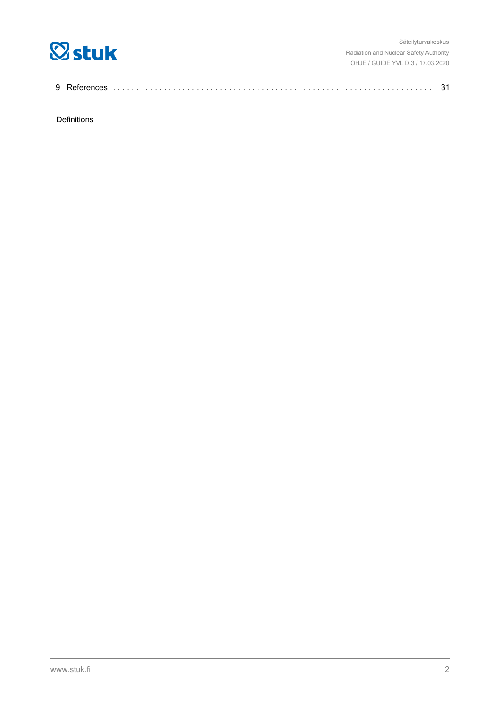

| 9 R |  |  |  |
|-----|--|--|--|
|-----|--|--|--|

Definitions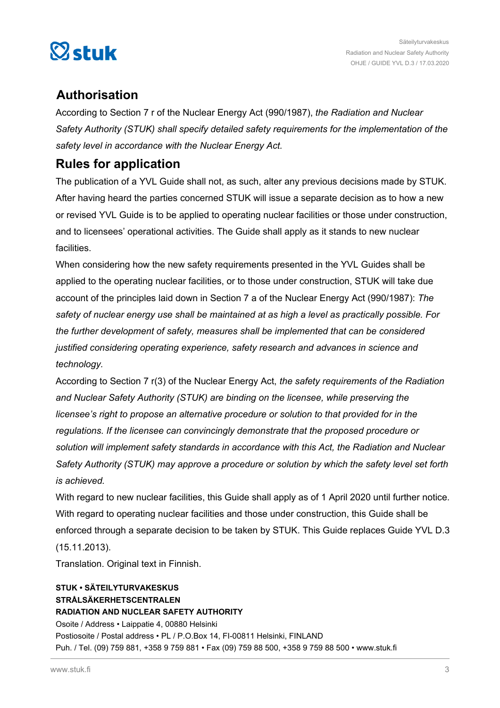

# **Authorisation**

According to Section 7 r of the Nuclear Energy Act (990/1987), *the Radiation and Nuclear Safety Authority (STUK) shall specify detailed safety requirements for the implementation of the safety level in accordance with the Nuclear Energy Act.*

# **Rules for application**

The publication of a YVL Guide shall not, as such, alter any previous decisions made by STUK. After having heard the parties concerned STUK will issue a separate decision as to how a new or revised YVL Guide is to be applied to operating nuclear facilities or those under construction, and to licensees' operational activities. The Guide shall apply as it stands to new nuclear facilities.

When considering how the new safety requirements presented in the YVL Guides shall be applied to the operating nuclear facilities, or to those under construction, STUK will take due account of the principles laid down in Section 7 a of the Nuclear Energy Act (990/1987): *The safety of nuclear energy use shall be maintained at as high a level as practically possible. For the further development of safety, measures shall be implemented that can be considered justified considering operating experience, safety research and advances in science and technology.*

According to Section 7 r(3) of the Nuclear Energy Act, *the safety requirements of the Radiation and Nuclear Safety Authority (STUK) are binding on the licensee, while preserving the licensee's right to propose an alternative procedure or solution to that provided for in the regulations. If the licensee can convincingly demonstrate that the proposed procedure or solution will implement safety standards in accordance with this Act, the Radiation and Nuclear Safety Authority (STUK) may approve a procedure or solution by which the safety level set forth is achieved.*

With regard to new nuclear facilities, this Guide shall apply as of 1 April 2020 until further notice. With regard to operating nuclear facilities and those under construction, this Guide shall be enforced through a separate decision to be taken by STUK. This Guide replaces Guide YVL D.3 (15.11.2013).

Translation. Original text in Finnish.

# **STUK • SÄTEILYTURVAKESKUS STRÅLSÄKERHETSCENTRALEN RADIATION AND NUCLEAR SAFETY AUTHORITY** Osoite / Address • Laippatie 4, 00880 Helsinki Postiosoite / Postal address • PL / P.O.Box 14, FI-00811 Helsinki, FINLAND Puh. / Tel. (09) 759 881, +358 9 759 881 • Fax (09) 759 88 500, +358 9 759 88 500 • www.stuk.fi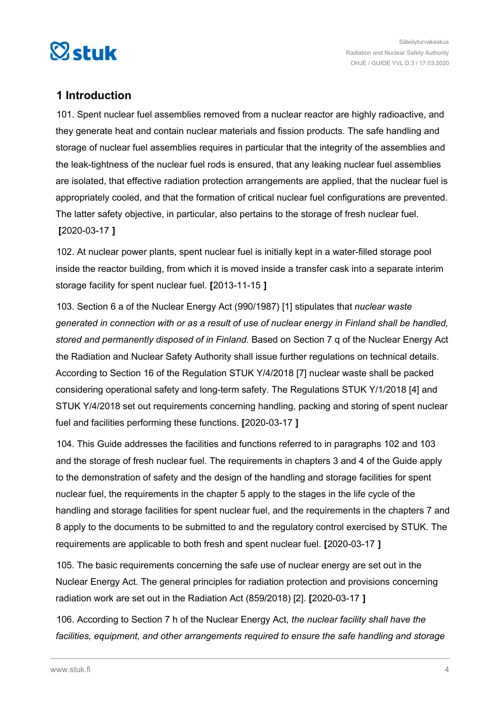<span id="page-3-0"></span>

# **1 Introduction**

101. Spent nuclear fuel assemblies removed from a nuclear reactor are highly radioactive, and they generate heat and contain nuclear materials and fission products. The safe handling and storage of nuclear fuel assemblies requires in particular that the integrity of the assemblies and the leak-tightness of the nuclear fuel rods is ensured, that any leaking nuclear fuel assemblies are isolated, that effective radiation protection arrangements are applied, that the nuclear fuel is appropriately cooled, and that the formation of critical nuclear fuel configurations are prevented. The latter safety objective, in particular, also pertains to the storage of fresh nuclear fuel. **[**2020-03-17 **]**

102. At nuclear power plants, spent nuclear fuel is initially kept in a water-filled storage pool inside the reactor building, from which it is moved inside a transfer cask into a separate interim storage facility for spent nuclear fuel. **[**2013-11-15 **]**

103. Section 6 a of the Nuclear Energy Act (990/1987) [1] stipulates that *nuclear waste generated in connection with or as a result of use of nuclear energy in Finland shall be handled, stored and permanently disposed of in Finland.* Based on Section 7 q of the Nuclear Energy Act the Radiation and Nuclear Safety Authority shall issue further regulations on technical details. According to Section 16 of the Regulation STUK Y/4/2018 [7] nuclear waste shall be packed considering operational safety and long-term safety. The Regulations STUK Y/1/2018 [4] and STUK Y/4/2018 set out requirements concerning handling, packing and storing of spent nuclear fuel and facilities performing these functions. **[**2020-03-17 **]**

104. This Guide addresses the facilities and functions referred to in paragraphs 102 and 103 and the storage of fresh nuclear fuel. The requirements in chapters 3 and 4 of the Guide apply to the demonstration of safety and the design of the handling and storage facilities for spent nuclear fuel, the requirements in the chapter 5 apply to the stages in the life cycle of the handling and storage facilities for spent nuclear fuel, and the requirements in the chapters 7 and 8 apply to the documents to be submitted to and the regulatory control exercised by STUK. The requirements are applicable to both fresh and spent nuclear fuel. **[**2020-03-17 **]**

105. The basic requirements concerning the safe use of nuclear energy are set out in the Nuclear Energy Act. The general principles for radiation protection and provisions concerning radiation work are set out in the Radiation Act (859/2018) [2]. **[**2020-03-17 **]**

106. According to Section 7 h of the Nuclear Energy Act, *the nuclear facility shall have the facilities, equipment, and other arrangements required to ensure the safe handling and storage*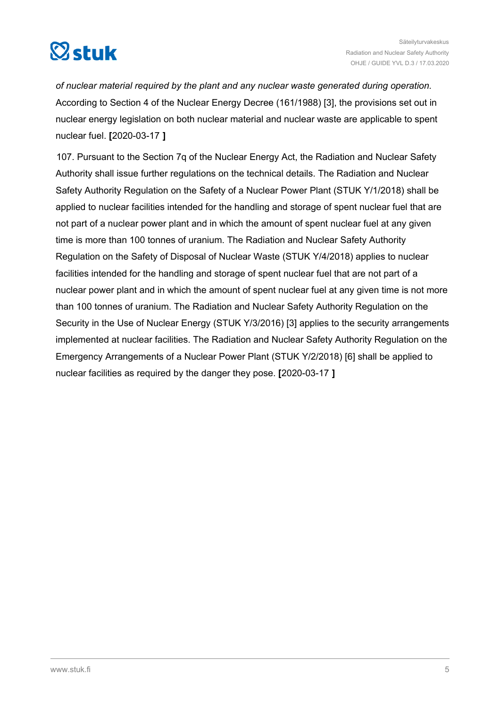

*of nuclear material required by the plant and any nuclear waste generated during operation.* According to Section 4 of the Nuclear Energy Decree (161/1988) [3], the provisions set out in nuclear energy legislation on both nuclear material and nuclear waste are applicable to spent nuclear fuel. **[**2020-03-17 **]**

107. Pursuant to the Section 7q of the Nuclear Energy Act, the Radiation and Nuclear Safety Authority shall issue further regulations on the technical details. The Radiation and Nuclear Safety Authority Regulation on the Safety of a Nuclear Power Plant (STUK Y/1/2018) shall be applied to nuclear facilities intended for the handling and storage of spent nuclear fuel that are not part of a nuclear power plant and in which the amount of spent nuclear fuel at any given time is more than 100 tonnes of uranium. The Radiation and Nuclear Safety Authority Regulation on the Safety of Disposal of Nuclear Waste (STUK Y/4/2018) applies to nuclear facilities intended for the handling and storage of spent nuclear fuel that are not part of a nuclear power plant and in which the amount of spent nuclear fuel at any given time is not more than 100 tonnes of uranium. The Radiation and Nuclear Safety Authority Regulation on the Security in the Use of Nuclear Energy (STUK Y/3/2016) [3] applies to the security arrangements implemented at nuclear facilities. The Radiation and Nuclear Safety Authority Regulation on the Emergency Arrangements of a Nuclear Power Plant (STUK Y/2/2018) [6] shall be applied to nuclear facilities as required by the danger they pose. **[**2020-03-17 **]**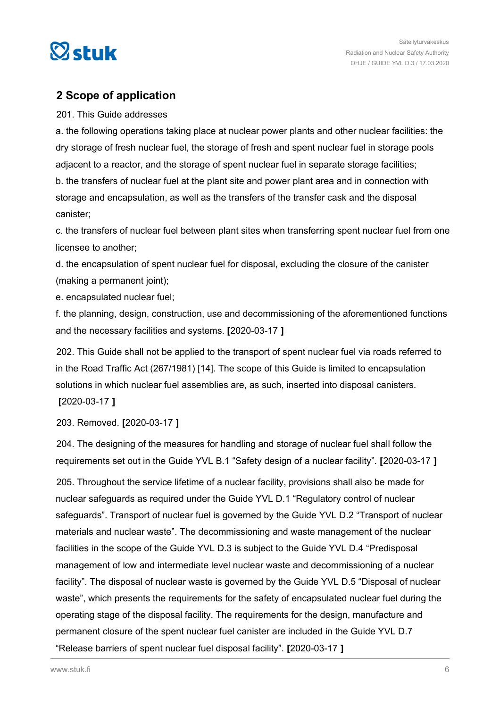<span id="page-5-0"></span>

# **2 Scope of application**

## 201. This Guide addresses

a. the following operations taking place at nuclear power plants and other nuclear facilities: the dry storage of fresh nuclear fuel, the storage of fresh and spent nuclear fuel in storage pools adjacent to a reactor, and the storage of spent nuclear fuel in separate storage facilities; b. the transfers of nuclear fuel at the plant site and power plant area and in connection with storage and encapsulation, as well as the transfers of the transfer cask and the disposal canister;

c. the transfers of nuclear fuel between plant sites when transferring spent nuclear fuel from one licensee to another;

d. the encapsulation of spent nuclear fuel for disposal, excluding the closure of the canister (making a permanent joint);

e. encapsulated nuclear fuel;

f. the planning, design, construction, use and decommissioning of the aforementioned functions and the necessary facilities and systems. **[**2020-03-17 **]**

202. This Guide shall not be applied to the transport of spent nuclear fuel via roads referred to in the Road Traffic Act (267/1981) [14]. The scope of this Guide is limited to encapsulation solutions in which nuclear fuel assemblies are, as such, inserted into disposal canisters. **[**2020-03-17 **]**

203. Removed. **[**2020-03-17 **]**

204. The designing of the measures for handling and storage of nuclear fuel shall follow the requirements set out in the Guide YVL B.1 "Safety design of a nuclear facility". **[**2020-03-17 **]**

205. Throughout the service lifetime of a nuclear facility, provisions shall also be made for nuclear safeguards as required under the Guide YVL D.1 "Regulatory control of nuclear safeguards". Transport of nuclear fuel is governed by the Guide YVL D.2 "Transport of nuclear materials and nuclear waste". The decommissioning and waste management of the nuclear facilities in the scope of the Guide YVL D.3 is subject to the Guide YVL D.4 "Predisposal management of low and intermediate level nuclear waste and decommissioning of a nuclear facility". The disposal of nuclear waste is governed by the Guide YVL D.5 "Disposal of nuclear waste", which presents the requirements for the safety of encapsulated nuclear fuel during the operating stage of the disposal facility. The requirements for the design, manufacture and permanent closure of the spent nuclear fuel canister are included in the Guide YVL D.7 "Release barriers of spent nuclear fuel disposal facility". **[**2020-03-17 **]**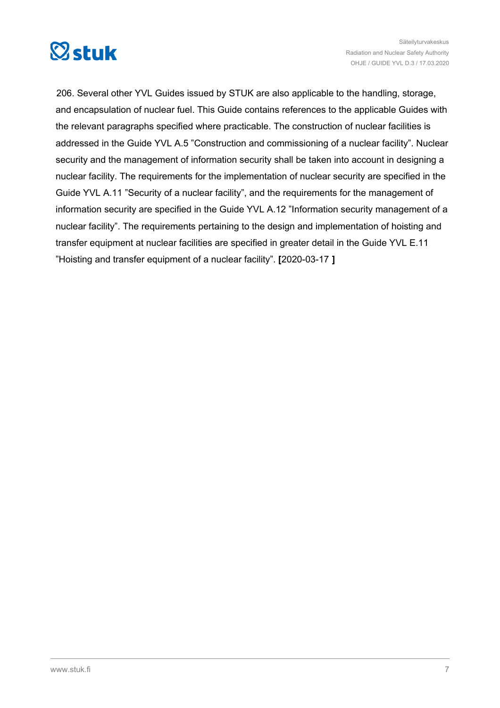

206. Several other YVL Guides issued by STUK are also applicable to the handling, storage, and encapsulation of nuclear fuel. This Guide contains references to the applicable Guides with the relevant paragraphs specified where practicable. The construction of nuclear facilities is addressed in the Guide YVL A.5 "Construction and commissioning of a nuclear facility". Nuclear security and the management of information security shall be taken into account in designing a nuclear facility. The requirements for the implementation of nuclear security are specified in the Guide YVL A.11 "Security of a nuclear facility", and the requirements for the management of information security are specified in the Guide YVL A.12 "Information security management of a nuclear facility". The requirements pertaining to the design and implementation of hoisting and transfer equipment at nuclear facilities are specified in greater detail in the Guide YVL E.11 "Hoisting and transfer equipment of a nuclear facility". **[**2020-03-17 **]**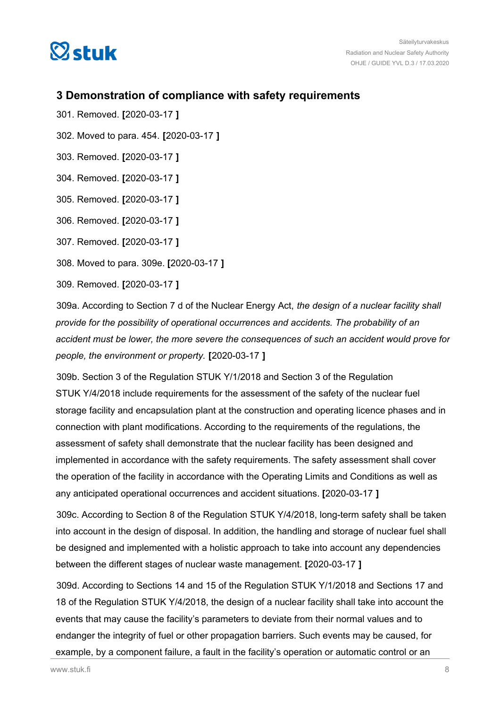<span id="page-7-0"></span>

# **3 Demonstration of compliance with safety requirements**

- 301. Removed. **[**2020-03-17 **]**
- 302. Moved to para. 454. **[**2020-03-17 **]**
- 303. Removed. **[**2020-03-17 **]**
- 304. Removed. **[**2020-03-17 **]**
- 305. Removed. **[**2020-03-17 **]**
- 306. Removed. **[**2020-03-17 **]**
- 307. Removed. **[**2020-03-17 **]**
- 308. Moved to para. 309e. **[**2020-03-17 **]**
- 309. Removed. **[**2020-03-17 **]**

309a. According to Section 7 d of the Nuclear Energy Act, *the design of a nuclear facility shall provide for the possibility of operational occurrences and accidents. The probability of an accident must be lower, the more severe the consequences of such an accident would prove for people, the environment or property.* **[**2020-03-17 **]**

309b. Section 3 of the Regulation STUK Y/1/2018 and Section 3 of the Regulation STUK Y/4/2018 include requirements for the assessment of the safety of the nuclear fuel storage facility and encapsulation plant at the construction and operating licence phases and in connection with plant modifications. According to the requirements of the regulations, the assessment of safety shall demonstrate that the nuclear facility has been designed and implemented in accordance with the safety requirements. The safety assessment shall cover the operation of the facility in accordance with the Operating Limits and Conditions as well as any anticipated operational occurrences and accident situations. **[**2020-03-17 **]**

309c. According to Section 8 of the Regulation STUK Y/4/2018, long-term safety shall be taken into account in the design of disposal. In addition, the handling and storage of nuclear fuel shall be designed and implemented with a holistic approach to take into account any dependencies between the different stages of nuclear waste management. **[**2020-03-17 **]**

309d. According to Sections 14 and 15 of the Regulation STUK Y/1/2018 and Sections 17 and 18 of the Regulation STUK Y/4/2018, the design of a nuclear facility shall take into account the events that may cause the facility's parameters to deviate from their normal values and to endanger the integrity of fuel or other propagation barriers. Such events may be caused, for example, by a component failure, a fault in the facility's operation or automatic control or an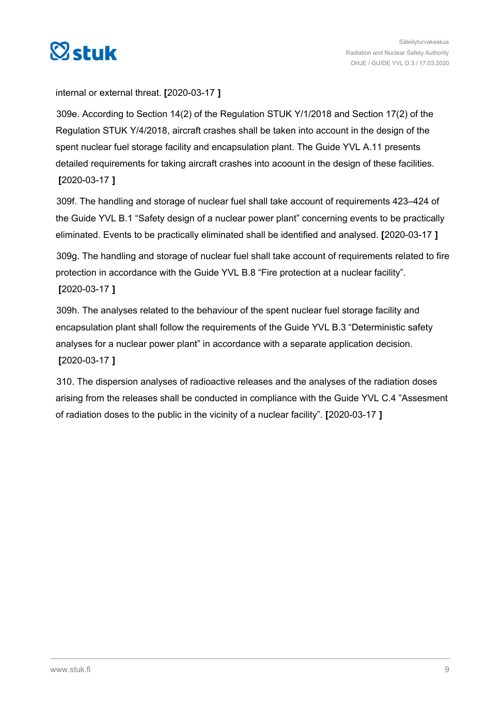

# internal or external threat. **[**2020-03-17 **]**

309e. According to Section 14(2) of the Regulation STUK Y/1/2018 and Section 17(2) of the Regulation STUK Y/4/2018, aircraft crashes shall be taken into account in the design of the spent nuclear fuel storage facility and encapsulation plant. The Guide YVL A.11 presents detailed requirements for taking aircraft crashes into acoount in the design of these facilities. **[**2020-03-17 **]**

309f. The handling and storage of nuclear fuel shall take account of requirements 423–424 of the Guide YVL B.1 "Safety design of a nuclear power plant" concerning events to be practically eliminated. Events to be practically eliminated shall be identified and analysed. **[**2020-03-17 **]**

309g. The handling and storage of nuclear fuel shall take account of requirements related to fire protection in accordance with the Guide YVL B.8 "Fire protection at a nuclear facility". **[**2020-03-17 **]**

309h. The analyses related to the behaviour of the spent nuclear fuel storage facility and encapsulation plant shall follow the requirements of the Guide YVL B.3 "Deterministic safety analyses for a nuclear power plant" in accordance with a separate application decision. **[**2020-03-17 **]**

310. The dispersion analyses of radioactive releases and the analyses of the radiation doses arising from the releases shall be conducted in compliance with the Guide YVL C.4 "Assesment of radiation doses to the public in the vicinity of a nuclear facility". **[**2020-03-17 **]**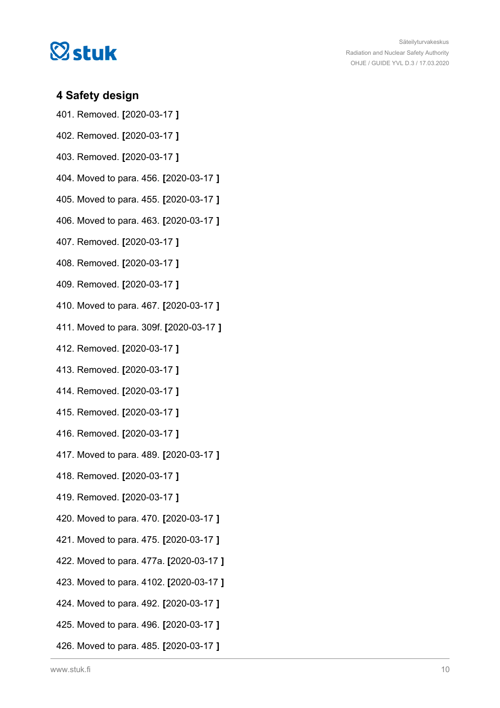<span id="page-9-0"></span>

# **4 Safety design**

- 401. Removed. **[**2020-03-17 **]**
- 402. Removed. **[**2020-03-17 **]**
- 403. Removed. **[**2020-03-17 **]**
- 404. Moved to para. 456. **[**2020-03-17 **]**
- 405. Moved to para. 455. **[**2020-03-17 **]**
- 406. Moved to para. 463. **[**2020-03-17 **]**
- 407. Removed. **[**2020-03-17 **]**
- 408. Removed. **[**2020-03-17 **]**
- 409. Removed. **[**2020-03-17 **]**
- 410. Moved to para. 467. **[**2020-03-17 **]**
- 411. Moved to para. 309f. **[**2020-03-17 **]**
- 412. Removed. **[**2020-03-17 **]**
- 413. Removed. **[**2020-03-17 **]**
- 414. Removed. **[**2020-03-17 **]**
- 415. Removed. **[**2020-03-17 **]**
- 416. Removed. **[**2020-03-17 **]**
- 417. Moved to para. 489. **[**2020-03-17 **]**
- 418. Removed. **[**2020-03-17 **]**
- 419. Removed. **[**2020-03-17 **]**
- 420. Moved to para. 470. **[**2020-03-17 **]**
- 421. Moved to para. 475. **[**2020-03-17 **]**
- 422. Moved to para. 477a. **[**2020-03-17 **]**
- 423. Moved to para. 4102. **[**2020-03-17 **]**
- 424. Moved to para. 492. **[**2020-03-17 **]**
- 425. Moved to para. 496. **[**2020-03-17 **]**
- 426. Moved to para. 485. **[**2020-03-17 **]**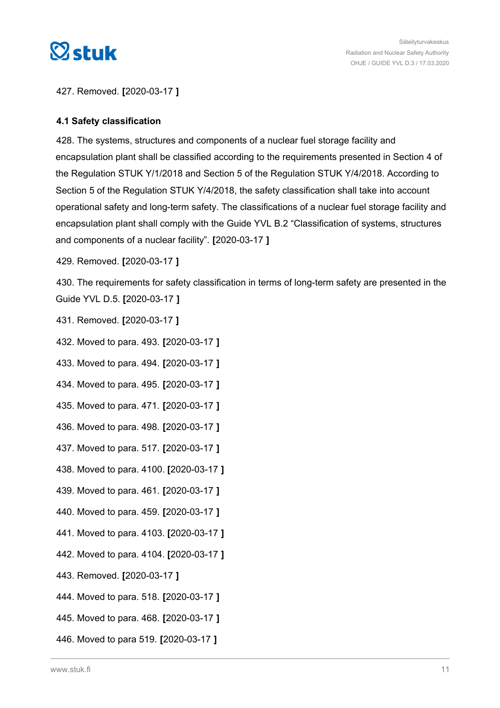<span id="page-10-0"></span>

427. Removed. **[**2020-03-17 **]**

# **4.1 Safety classification**

428. The systems, structures and components of a nuclear fuel storage facility and encapsulation plant shall be classified according to the requirements presented in Section 4 of the Regulation STUK Y/1/2018 and Section 5 of the Regulation STUK Y/4/2018. According to Section 5 of the Regulation STUK Y/4/2018, the safety classification shall take into account operational safety and long-term safety. The classifications of a nuclear fuel storage facility and encapsulation plant shall comply with the Guide YVL B.2 "Classification of systems, structures and components of a nuclear facility". **[**2020-03-17 **]**

429. Removed. **[**2020-03-17 **]**

430. The requirements for safety classification in terms of long-term safety are presented in the Guide YVL D.5. **[**2020-03-17 **]**

431. Removed. **[**2020-03-17 **]**

432. Moved to para. 493. **[**2020-03-17 **]**

433. Moved to para. 494. **[**2020-03-17 **]**

- 434. Moved to para. 495. **[**2020-03-17 **]**
- 435. Moved to para. 471. **[**2020-03-17 **]**
- 436. Moved to para. 498. **[**2020-03-17 **]**
- 437. Moved to para. 517. **[**2020-03-17 **]**
- 438. Moved to para. 4100. **[**2020-03-17 **]**
- 439. Moved to para. 461. **[**2020-03-17 **]**
- 440. Moved to para. 459. **[**2020-03-17 **]**
- 441. Moved to para. 4103. **[**2020-03-17 **]**
- 442. Moved to para. 4104. **[**2020-03-17 **]**
- 443. Removed. **[**2020-03-17 **]**
- 444. Moved to para. 518. **[**2020-03-17 **]**
- 445. Moved to para. 468. **[**2020-03-17 **]**
- 446. Moved to para 519. **[**2020-03-17 **]**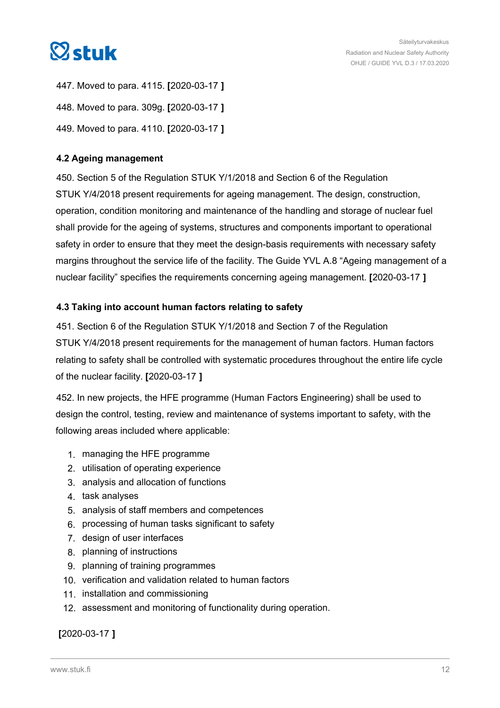<span id="page-11-0"></span>

447. Moved to para. 4115. **[**2020-03-17 **]** 448. Moved to para. 309g. **[**2020-03-17 **]** 449. Moved to para. 4110. **[**2020-03-17 **]**

# **4.2 Ageing management**

450. Section 5 of the Regulation STUK Y/1/2018 and Section 6 of the Regulation STUK Y/4/2018 present requirements for ageing management. The design, construction, operation, condition monitoring and maintenance of the handling and storage of nuclear fuel shall provide for the ageing of systems, structures and components important to operational safety in order to ensure that they meet the design-basis requirements with necessary safety margins throughout the service life of the facility. The Guide YVL A.8 "Ageing management of a nuclear facility" specifies the requirements concerning ageing management. **[**2020-03-17 **]**

# **4.3 Taking into account human factors relating to safety**

451. Section 6 of the Regulation STUK Y/1/2018 and Section 7 of the Regulation STUK Y/4/2018 present requirements for the management of human factors. Human factors relating to safety shall be controlled with systematic procedures throughout the entire life cycle of the nuclear facility. **[**2020-03-17 **]**

452. In new projects, the HFE programme (Human Factors Engineering) shall be used to design the control, testing, review and maintenance of systems important to safety, with the following areas included where applicable:

- 1. managing the HFE programme
- 2. utilisation of operating experience
- 3. analysis and allocation of functions
- 4. task analyses
- 5. analysis of staff members and competences
- 6. processing of human tasks significant to safety
- 7. design of user interfaces
- 8. planning of instructions
- 9. planning of training programmes
- 10. verification and validation related to human factors
- 11. installation and commissioning
- 12. assessment and monitoring of functionality during operation.

**[**2020-03-17 **]**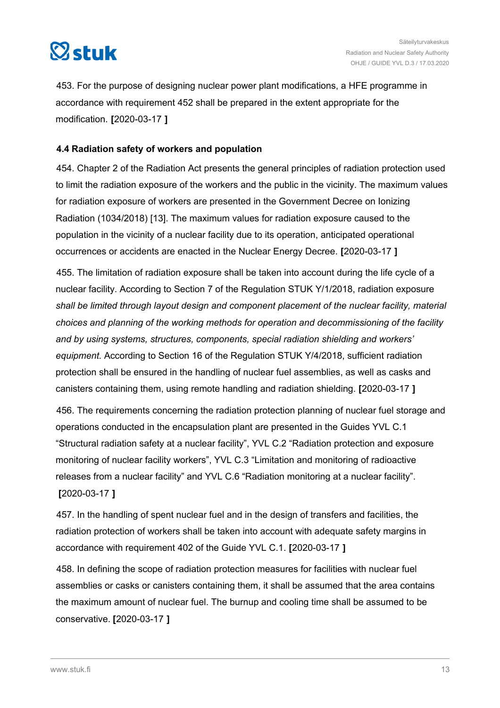<span id="page-12-0"></span>

453. For the purpose of designing nuclear power plant modifications, a HFE programme in accordance with requirement 452 shall be prepared in the extent appropriate for the modification. **[**2020-03-17 **]**

# **4.4 Radiation safety of workers and population**

454. Chapter 2 of the Radiation Act presents the general principles of radiation protection used to limit the radiation exposure of the workers and the public in the vicinity. The maximum values for radiation exposure of workers are presented in the Government Decree on Ionizing Radiation (1034/2018) [13]. The maximum values for radiation exposure caused to the population in the vicinity of a nuclear facility due to its operation, anticipated operational occurrences or accidents are enacted in the Nuclear Energy Decree. **[**2020-03-17 **]**

455. The limitation of radiation exposure shall be taken into account during the life cycle of a nuclear facility. According to Section 7 of the Regulation STUK Y/1/2018, radiation exposure *shall be limited through layout design and component placement of the nuclear facility, material choices and planning of the working methods for operation and decommissioning of the facility and by using systems, structures, components, special radiation shielding and workers' equipment.* According to Section 16 of the Regulation STUK Y/4/2018, sufficient radiation protection shall be ensured in the handling of nuclear fuel assemblies, as well as casks and canisters containing them, using remote handling and radiation shielding. **[**2020-03-17 **]**

456. The requirements concerning the radiation protection planning of nuclear fuel storage and operations conducted in the encapsulation plant are presented in the Guides YVL C.1 "Structural radiation safety at a nuclear facility", YVL C.2 "Radiation protection and exposure monitoring of nuclear facility workers", YVL C.3 "Limitation and monitoring of radioactive releases from a nuclear facility" and YVL C.6 "Radiation monitoring at a nuclear facility". **[**2020-03-17 **]**

457. In the handling of spent nuclear fuel and in the design of transfers and facilities, the radiation protection of workers shall be taken into account with adequate safety margins in accordance with requirement 402 of the Guide YVL C.1. **[**2020-03-17 **]**

458. In defining the scope of radiation protection measures for facilities with nuclear fuel assemblies or casks or canisters containing them, it shall be assumed that the area contains the maximum amount of nuclear fuel. The burnup and cooling time shall be assumed to be conservative. **[**2020-03-17 **]**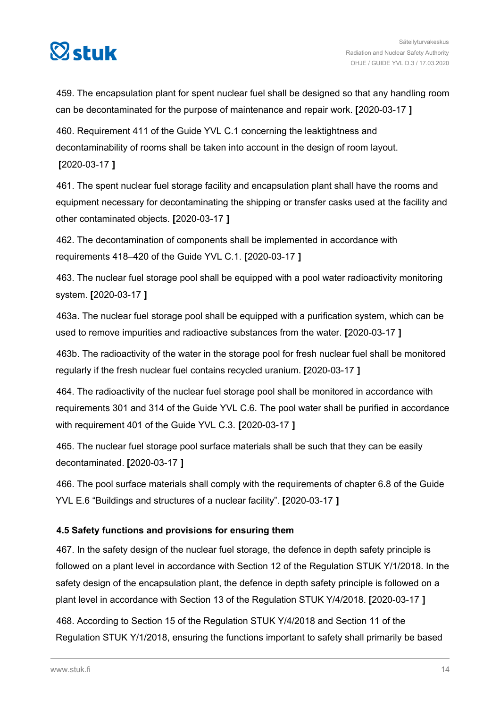<span id="page-13-0"></span>

459. The encapsulation plant for spent nuclear fuel shall be designed so that any handling room can be decontaminated for the purpose of maintenance and repair work. **[**2020-03-17 **]**

460. Requirement 411 of the Guide YVL C.1 concerning the leaktightness and decontaminability of rooms shall be taken into account in the design of room layout.

# **[**2020-03-17 **]**

461. The spent nuclear fuel storage facility and encapsulation plant shall have the rooms and equipment necessary for decontaminating the shipping or transfer casks used at the facility and other contaminated objects. **[**2020-03-17 **]**

462. The decontamination of components shall be implemented in accordance with requirements 418–420 of the Guide YVL C.1. **[**2020-03-17 **]**

463. The nuclear fuel storage pool shall be equipped with a pool water radioactivity monitoring system. **[**2020-03-17 **]**

463a. The nuclear fuel storage pool shall be equipped with a purification system, which can be used to remove impurities and radioactive substances from the water. **[**2020-03-17 **]**

463b. The radioactivity of the water in the storage pool for fresh nuclear fuel shall be monitored regularly if the fresh nuclear fuel contains recycled uranium. **[**2020-03-17 **]**

464. The radioactivity of the nuclear fuel storage pool shall be monitored in accordance with requirements 301 and 314 of the Guide YVL C.6. The pool water shall be purified in accordance with requirement 401 of the Guide YVL C.3. **[**2020-03-17 **]**

465. The nuclear fuel storage pool surface materials shall be such that they can be easily decontaminated. **[**2020-03-17 **]**

466. The pool surface materials shall comply with the requirements of chapter 6.8 of the Guide YVL E.6 "Buildings and structures of a nuclear facility". **[**2020-03-17 **]**

# **4.5 Safety functions and provisions for ensuring them**

467. In the safety design of the nuclear fuel storage, the defence in depth safety principle is followed on a plant level in accordance with Section 12 of the Regulation STUK Y/1/2018. In the safety design of the encapsulation plant, the defence in depth safety principle is followed on a plant level in accordance with Section 13 of the Regulation STUK Y/4/2018. **[**2020-03-17 **]**

468. According to Section 15 of the Regulation STUK Y/4/2018 and Section 11 of the Regulation STUK Y/1/2018, ensuring the functions important to safety shall primarily be based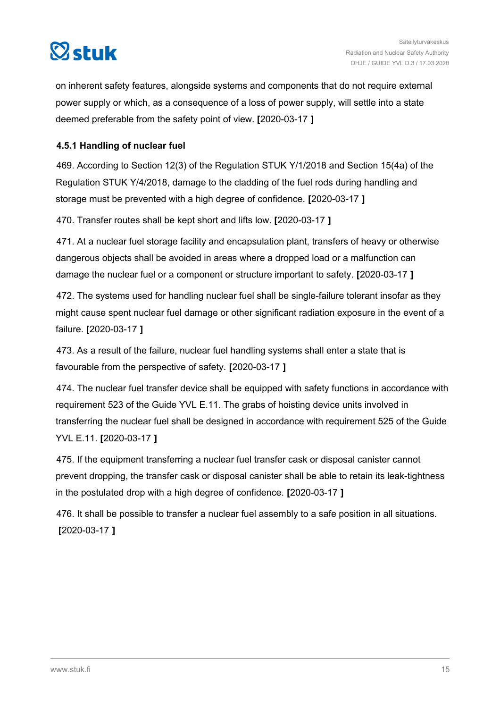<span id="page-14-0"></span>

on inherent safety features, alongside systems and components that do not require external power supply or which, as a consequence of a loss of power supply, will settle into a state deemed preferable from the safety point of view. **[**2020-03-17 **]**

# **4.5.1 Handling of nuclear fuel**

469. According to Section 12(3) of the Regulation STUK Y/1/2018 and Section 15(4a) of the Regulation STUK Y/4/2018, damage to the cladding of the fuel rods during handling and storage must be prevented with a high degree of confidence. **[**2020-03-17 **]**

470. Transfer routes shall be kept short and lifts low. **[**2020-03-17 **]**

471. At a nuclear fuel storage facility and encapsulation plant, transfers of heavy or otherwise dangerous objects shall be avoided in areas where a dropped load or a malfunction can damage the nuclear fuel or a component or structure important to safety. **[**2020-03-17 **]**

472. The systems used for handling nuclear fuel shall be single-failure tolerant insofar as they might cause spent nuclear fuel damage or other significant radiation exposure in the event of a failure. **[**2020-03-17 **]**

473. As a result of the failure, nuclear fuel handling systems shall enter a state that is favourable from the perspective of safety. **[**2020-03-17 **]**

474. The nuclear fuel transfer device shall be equipped with safety functions in accordance with requirement 523 of the Guide YVL E.11. The grabs of hoisting device units involved in transferring the nuclear fuel shall be designed in accordance with requirement 525 of the Guide YVL E.11. **[**2020-03-17 **]**

475. If the equipment transferring a nuclear fuel transfer cask or disposal canister cannot prevent dropping, the transfer cask or disposal canister shall be able to retain its leak-tightness in the postulated drop with a high degree of confidence. **[**2020-03-17 **]**

476. It shall be possible to transfer a nuclear fuel assembly to a safe position in all situations. **[**2020-03-17 **]**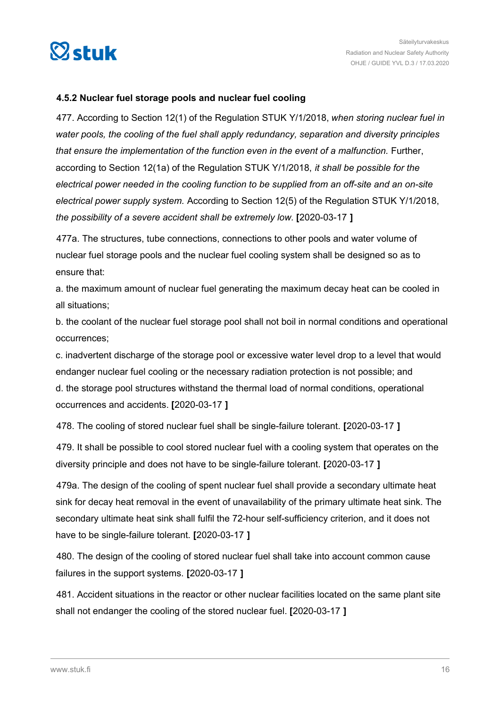<span id="page-15-0"></span>

## **4.5.2 Nuclear fuel storage pools and nuclear fuel cooling**

477. According to Section 12(1) of the Regulation STUK Y/1/2018, *when storing nuclear fuel in water pools, the cooling of the fuel shall apply redundancy, separation and diversity principles that ensure the implementation of the function even in the event of a malfunction.* Further, according to Section 12(1a) of the Regulation STUK Y/1/2018, *it shall be possible for the electrical power needed in the cooling function to be supplied from an off-site and an on-site electrical power supply system.* According to Section 12(5) of the Regulation STUK Y/1/2018, *the possibility of a severe accident shall be extremely low.* **[**2020-03-17 **]**

477a. The structures, tube connections, connections to other pools and water volume of nuclear fuel storage pools and the nuclear fuel cooling system shall be designed so as to ensure that:

a. the maximum amount of nuclear fuel generating the maximum decay heat can be cooled in all situations;

b. the coolant of the nuclear fuel storage pool shall not boil in normal conditions and operational occurrences;

c. inadvertent discharge of the storage pool or excessive water level drop to a level that would endanger nuclear fuel cooling or the necessary radiation protection is not possible; and d. the storage pool structures withstand the thermal load of normal conditions, operational occurrences and accidents. **[**2020-03-17 **]**

478. The cooling of stored nuclear fuel shall be single-failure tolerant. **[**2020-03-17 **]**

479. It shall be possible to cool stored nuclear fuel with a cooling system that operates on the diversity principle and does not have to be single-failure tolerant. **[**2020-03-17 **]**

479a. The design of the cooling of spent nuclear fuel shall provide a secondary ultimate heat sink for decay heat removal in the event of unavailability of the primary ultimate heat sink. The secondary ultimate heat sink shall fulfil the 72-hour self-sufficiency criterion, and it does not have to be single-failure tolerant. **[**2020-03-17 **]**

480. The design of the cooling of stored nuclear fuel shall take into account common cause failures in the support systems. **[**2020-03-17 **]**

481. Accident situations in the reactor or other nuclear facilities located on the same plant site shall not endanger the cooling of the stored nuclear fuel. **[**2020-03-17 **]**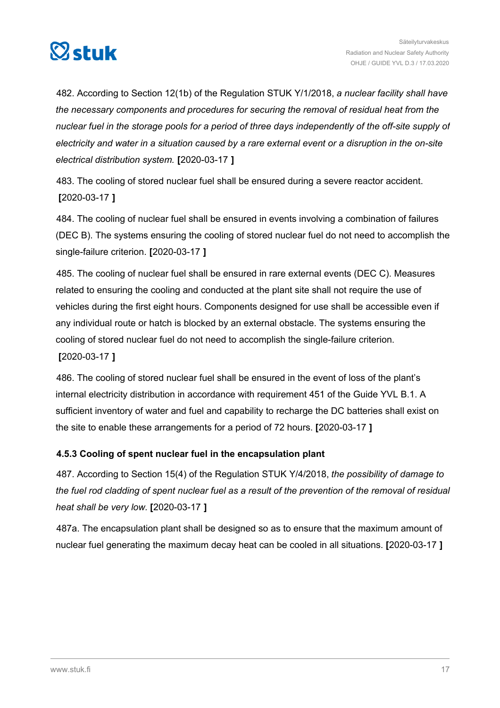<span id="page-16-0"></span>

482. According to Section 12(1b) of the Regulation STUK Y/1/2018, *a nuclear facility shall have the necessary components and procedures for securing the removal of residual heat from the nuclear fuel in the storage pools for a period of three days independently of the off-site supply of electricity and water in a situation caused by a rare external event or a disruption in the on-site electrical distribution system.* **[**2020-03-17 **]**

483. The cooling of stored nuclear fuel shall be ensured during a severe reactor accident. **[**2020-03-17 **]**

484. The cooling of nuclear fuel shall be ensured in events involving a combination of failures (DEC B). The systems ensuring the cooling of stored nuclear fuel do not need to accomplish the single-failure criterion. **[**2020-03-17 **]**

485. The cooling of nuclear fuel shall be ensured in rare external events (DEC C). Measures related to ensuring the cooling and conducted at the plant site shall not require the use of vehicles during the first eight hours. Components designed for use shall be accessible even if any individual route or hatch is blocked by an external obstacle. The systems ensuring the cooling of stored nuclear fuel do not need to accomplish the single-failure criterion.

**[**2020-03-17 **]**

486. The cooling of stored nuclear fuel shall be ensured in the event of loss of the plant's internal electricity distribution in accordance with requirement 451 of the Guide YVL B.1. A sufficient inventory of water and fuel and capability to recharge the DC batteries shall exist on the site to enable these arrangements for a period of 72 hours. **[**2020-03-17 **]**

# **4.5.3 Cooling of spent nuclear fuel in the encapsulation plant**

487. According to Section 15(4) of the Regulation STUK Y/4/2018, *the possibility of damage to the fuel rod cladding of spent nuclear fuel as a result of the prevention of the removal of residual heat shall be very low.* **[**2020-03-17 **]**

487a. The encapsulation plant shall be designed so as to ensure that the maximum amount of nuclear fuel generating the maximum decay heat can be cooled in all situations. **[**2020-03-17 **]**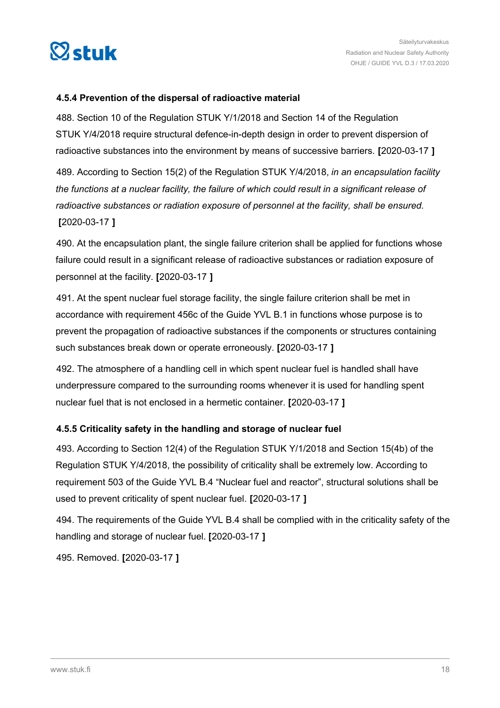<span id="page-17-0"></span>

### **4.5.4 Prevention of the dispersal of radioactive material**

488. Section 10 of the Regulation STUK Y/1/2018 and Section 14 of the Regulation STUK Y/4/2018 require structural defence-in-depth design in order to prevent dispersion of radioactive substances into the environment by means of successive barriers. **[**2020-03-17 **]**

489. According to Section 15(2) of the Regulation STUK Y/4/2018, *in an encapsulation facility the functions at a nuclear facility, the failure of which could result in a significant release of radioactive substances or radiation exposure of personnel at the facility, shall be ensured.* **[**2020-03-17 **]**

490. At the encapsulation plant, the single failure criterion shall be applied for functions whose failure could result in a significant release of radioactive substances or radiation exposure of personnel at the facility. **[**2020-03-17 **]**

491. At the spent nuclear fuel storage facility, the single failure criterion shall be met in accordance with requirement 456c of the Guide YVL B.1 in functions whose purpose is to prevent the propagation of radioactive substances if the components or structures containing such substances break down or operate erroneously. **[**2020-03-17 **]**

492. The atmosphere of a handling cell in which spent nuclear fuel is handled shall have underpressure compared to the surrounding rooms whenever it is used for handling spent nuclear fuel that is not enclosed in a hermetic container. **[**2020-03-17 **]**

# **4.5.5 Criticality safety in the handling and storage of nuclear fuel**

493. According to Section 12(4) of the Regulation STUK Y/1/2018 and Section 15(4b) of the Regulation STUK Y/4/2018, the possibility of criticality shall be extremely low. According to requirement 503 of the Guide YVL B.4 "Nuclear fuel and reactor", structural solutions shall be used to prevent criticality of spent nuclear fuel. **[**2020-03-17 **]**

494. The requirements of the Guide YVL B.4 shall be complied with in the criticality safety of the handling and storage of nuclear fuel. **[**2020-03-17 **]**

495. Removed. **[**2020-03-17 **]**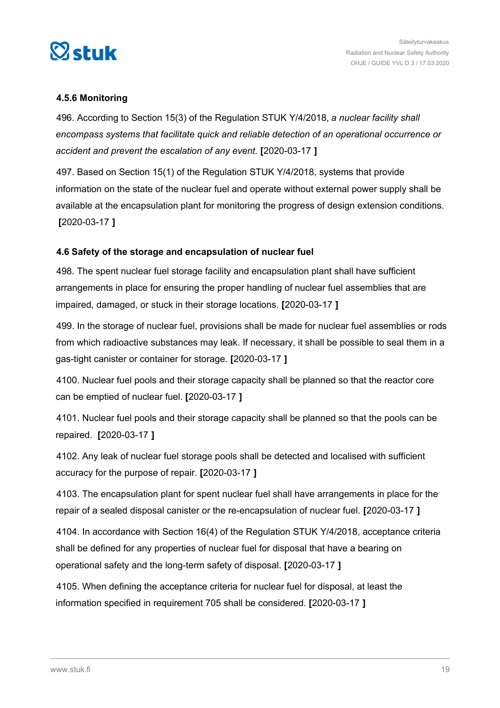<span id="page-18-0"></span>

## **4.5.6 Monitoring**

496. According to Section 15(3) of the Regulation STUK Y/4/2018, *a nuclear facility shall encompass systems that facilitate quick and reliable detection of an operational occurrence or accident and prevent the escalation of any event.* **[**2020-03-17 **]**

497. Based on Section 15(1) of the Regulation STUK Y/4/2018, systems that provide information on the state of the nuclear fuel and operate without external power supply shall be available at the encapsulation plant for monitoring the progress of design extension conditions. **[**2020-03-17 **]**

## **4.6 Safety of the storage and encapsulation of nuclear fuel**

498. The spent nuclear fuel storage facility and encapsulation plant shall have sufficient arrangements in place for ensuring the proper handling of nuclear fuel assemblies that are impaired, damaged, or stuck in their storage locations. **[**2020-03-17 **]**

499. In the storage of nuclear fuel, provisions shall be made for nuclear fuel assemblies or rods from which radioactive substances may leak. If necessary, it shall be possible to seal them in a gas-tight canister or container for storage. **[**2020-03-17 **]**

4100. Nuclear fuel pools and their storage capacity shall be planned so that the reactor core can be emptied of nuclear fuel. **[**2020-03-17 **]**

4101. Nuclear fuel pools and their storage capacity shall be planned so that the pools can be repaired. **[**2020-03-17 **]**

4102. Any leak of nuclear fuel storage pools shall be detected and localised with sufficient accuracy for the purpose of repair. **[**2020-03-17 **]**

4103. The encapsulation plant for spent nuclear fuel shall have arrangements in place for the repair of a sealed disposal canister or the re-encapsulation of nuclear fuel. **[**2020-03-17 **]**

4104. In accordance with Section 16(4) of the Regulation STUK Y/4/2018, acceptance criteria shall be defined for any properties of nuclear fuel for disposal that have a bearing on operational safety and the long-term safety of disposal. **[**2020-03-17 **]**

4105. When defining the acceptance criteria for nuclear fuel for disposal, at least the information specified in requirement 705 shall be considered. **[**2020-03-17 **]**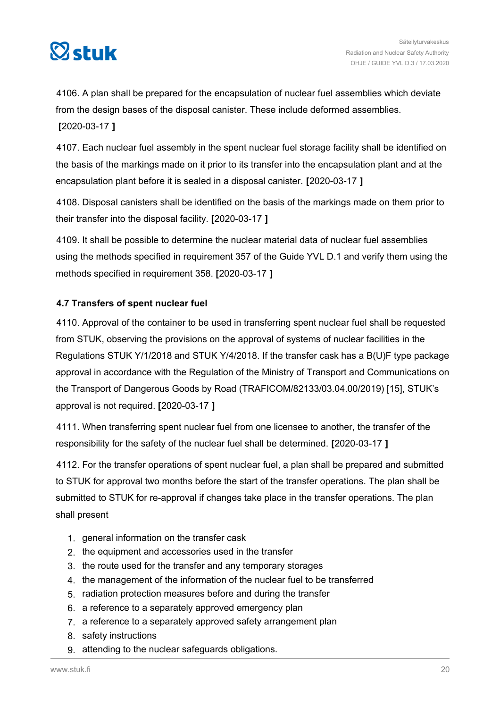<span id="page-19-0"></span>

4106. A plan shall be prepared for the encapsulation of nuclear fuel assemblies which deviate from the design bases of the disposal canister. These include deformed assemblies. **[**2020-03-17 **]**

4107. Each nuclear fuel assembly in the spent nuclear fuel storage facility shall be identified on the basis of the markings made on it prior to its transfer into the encapsulation plant and at the encapsulation plant before it is sealed in a disposal canister. **[**2020-03-17 **]**

4108. Disposal canisters shall be identified on the basis of the markings made on them prior to their transfer into the disposal facility. **[**2020-03-17 **]**

4109. It shall be possible to determine the nuclear material data of nuclear fuel assemblies using the methods specified in requirement 357 of the Guide YVL D.1 and verify them using the methods specified in requirement 358. **[**2020-03-17 **]**

# **4.7 Transfers of spent nuclear fuel**

4110. Approval of the container to be used in transferring spent nuclear fuel shall be requested from STUK, observing the provisions on the approval of systems of nuclear facilities in the Regulations STUK Y/1/2018 and STUK Y/4/2018. If the transfer cask has a B(U)F type package approval in accordance with the Regulation of the Ministry of Transport and Communications on the Transport of Dangerous Goods by Road (TRAFICOM/82133/03.04.00/2019) [15], STUK's approval is not required. **[**2020-03-17 **]**

4111. When transferring spent nuclear fuel from one licensee to another, the transfer of the responsibility for the safety of the nuclear fuel shall be determined. **[**2020-03-17 **]**

4112. For the transfer operations of spent nuclear fuel, a plan shall be prepared and submitted to STUK for approval two months before the start of the transfer operations. The plan shall be submitted to STUK for re-approval if changes take place in the transfer operations. The plan shall present

- 1. general information on the transfer cask
- 2. the equipment and accessories used in the transfer
- 3. the route used for the transfer and any temporary storages
- 4. the management of the information of the nuclear fuel to be transferred
- 5. radiation protection measures before and during the transfer
- 6. a reference to a separately approved emergency plan
- 7. a reference to a separately approved safety arrangement plan
- 8. safety instructions
- 9. attending to the nuclear safeguards obligations.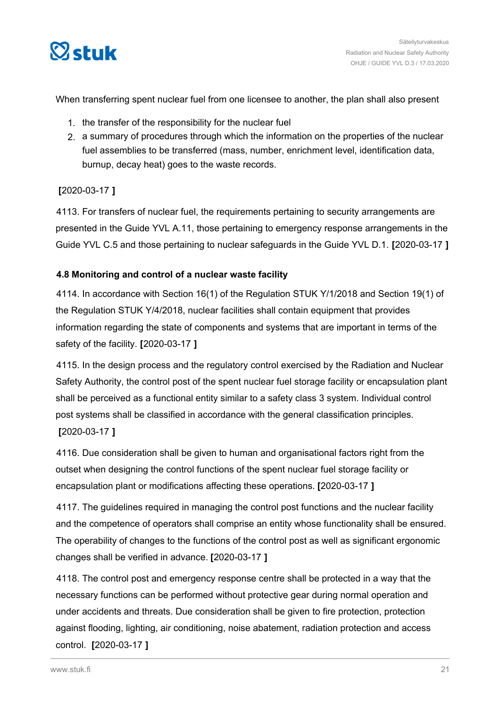<span id="page-20-0"></span>

When transferring spent nuclear fuel from one licensee to another, the plan shall also present

- 1. the transfer of the responsibility for the nuclear fuel
- 2. a summary of procedures through which the information on the properties of the nuclear fuel assemblies to be transferred (mass, number, enrichment level, identification data, burnup, decay heat) goes to the waste records.

# **[**2020-03-17 **]**

4113. For transfers of nuclear fuel, the requirements pertaining to security arrangements are presented in the Guide YVL A.11, those pertaining to emergency response arrangements in the Guide YVL C.5 and those pertaining to nuclear safeguards in the Guide YVL D.1. **[**2020-03-17 **]**

# **4.8 Monitoring and control of a nuclear waste facility**

4114. In accordance with Section 16(1) of the Regulation STUK Y/1/2018 and Section 19(1) of the Regulation STUK Y/4/2018, nuclear facilities shall contain equipment that provides information regarding the state of components and systems that are important in terms of the safety of the facility. **[**2020-03-17 **]**

4115. In the design process and the regulatory control exercised by the Radiation and Nuclear Safety Authority, the control post of the spent nuclear fuel storage facility or encapsulation plant shall be perceived as a functional entity similar to a safety class 3 system. Individual control post systems shall be classified in accordance with the general classification principles.

# **[**2020-03-17 **]**

4116. Due consideration shall be given to human and organisational factors right from the outset when designing the control functions of the spent nuclear fuel storage facility or encapsulation plant or modifications affecting these operations. **[**2020-03-17 **]**

4117. The guidelines required in managing the control post functions and the nuclear facility and the competence of operators shall comprise an entity whose functionality shall be ensured. The operability of changes to the functions of the control post as well as significant ergonomic changes shall be verified in advance. **[**2020-03-17 **]**

4118. The control post and emergency response centre shall be protected in a way that the necessary functions can be performed without protective gear during normal operation and under accidents and threats. Due consideration shall be given to fire protection, protection against flooding, lighting, air conditioning, noise abatement, radiation protection and access control. **[**2020-03-17 **]**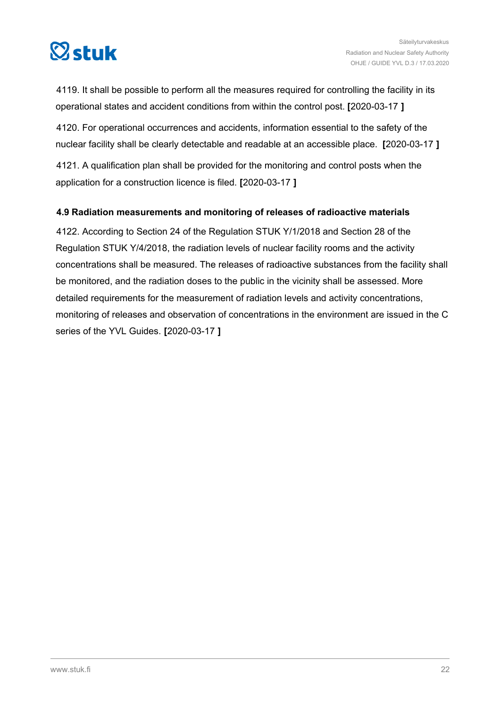<span id="page-21-0"></span>

4119. It shall be possible to perform all the measures required for controlling the facility in its operational states and accident conditions from within the control post. **[**2020-03-17 **]**

4120. For operational occurrences and accidents, information essential to the safety of the nuclear facility shall be clearly detectable and readable at an accessible place. **[**2020-03-17 **]**

4121. A qualification plan shall be provided for the monitoring and control posts when the application for a construction licence is filed. **[**2020-03-17 **]**

# **4.9 Radiation measurements and monitoring of releases of radioactive materials**

4122. According to Section 24 of the Regulation STUK Y/1/2018 and Section 28 of the Regulation STUK Y/4/2018, the radiation levels of nuclear facility rooms and the activity concentrations shall be measured. The releases of radioactive substances from the facility shall be monitored, and the radiation doses to the public in the vicinity shall be assessed. More detailed requirements for the measurement of radiation levels and activity concentrations, monitoring of releases and observation of concentrations in the environment are issued in the C series of the YVL Guides. **[**2020-03-17 **]**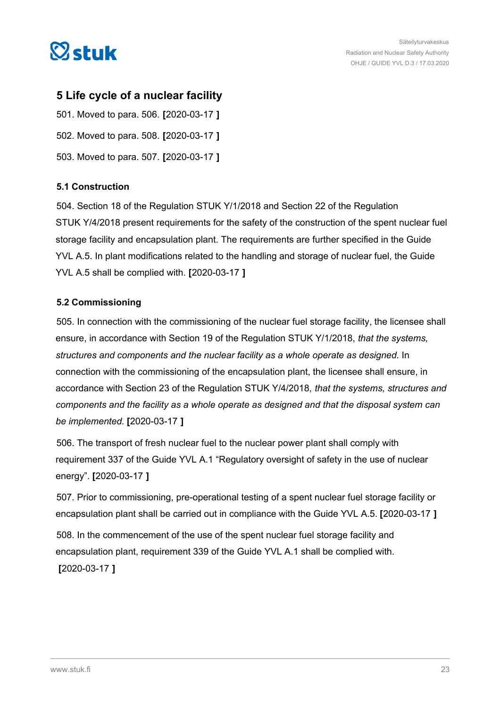<span id="page-22-0"></span>

# **5 Life cycle of a nuclear facility**

501. Moved to para. 506. **[**2020-03-17 **]** 502. Moved to para. 508. **[**2020-03-17 **]** 503. Moved to para. 507. **[**2020-03-17 **]**

# **5.1 Construction**

504. Section 18 of the Regulation STUK Y/1/2018 and Section 22 of the Regulation STUK Y/4/2018 present requirements for the safety of the construction of the spent nuclear fuel storage facility and encapsulation plant. The requirements are further specified in the Guide YVL A.5. In plant modifications related to the handling and storage of nuclear fuel, the Guide YVL A.5 shall be complied with. **[**2020-03-17 **]**

# **5.2 Commissioning**

505. In connection with the commissioning of the nuclear fuel storage facility, the licensee shall ensure, in accordance with Section 19 of the Regulation STUK Y/1/2018, *that the systems, structures and components and the nuclear facility as a whole operate as designed.* In connection with the commissioning of the encapsulation plant, the licensee shall ensure, in accordance with Section 23 of the Regulation STUK Y/4/2018, *that the systems, structures and components and the facility as a whole operate as designed and that the disposal system can be implemented.* **[**2020-03-17 **]**

506. The transport of fresh nuclear fuel to the nuclear power plant shall comply with requirement 337 of the Guide YVL A.1 "Regulatory oversight of safety in the use of nuclear energy". **[**2020-03-17 **]**

507. Prior to commissioning, pre-operational testing of a spent nuclear fuel storage facility or encapsulation plant shall be carried out in compliance with the Guide YVL A.5. **[**2020-03-17 **]**

508. In the commencement of the use of the spent nuclear fuel storage facility and encapsulation plant, requirement 339 of the Guide YVL A.1 shall be complied with. **[**2020-03-17 **]**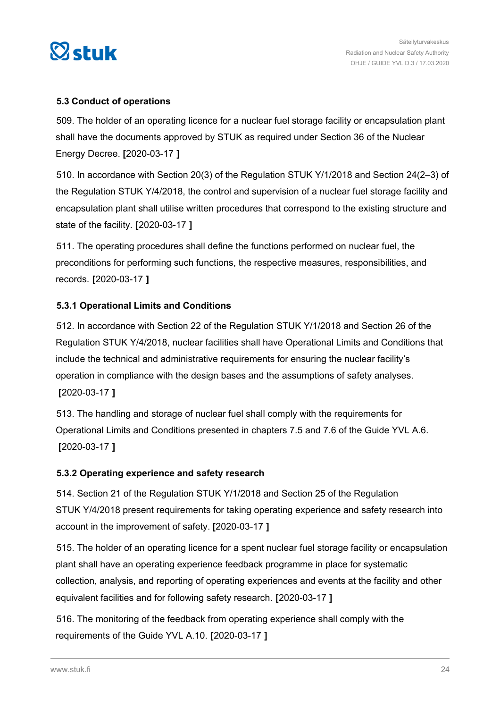<span id="page-23-0"></span>

# **5.3 Conduct of operations**

509. The holder of an operating licence for a nuclear fuel storage facility or encapsulation plant shall have the documents approved by STUK as required under Section 36 of the Nuclear Energy Decree. **[**2020-03-17 **]**

510. In accordance with Section 20(3) of the Regulation STUK Y/1/2018 and Section 24(2–3) of the Regulation STUK Y/4/2018, the control and supervision of a nuclear fuel storage facility and encapsulation plant shall utilise written procedures that correspond to the existing structure and state of the facility. **[**2020-03-17 **]**

511. The operating procedures shall define the functions performed on nuclear fuel, the preconditions for performing such functions, the respective measures, responsibilities, and records. **[**2020-03-17 **]**

# **5.3.1 Operational Limits and Conditions**

512. In accordance with Section 22 of the Regulation STUK Y/1/2018 and Section 26 of the Regulation STUK Y/4/2018, nuclear facilities shall have Operational Limits and Conditions that include the technical and administrative requirements for ensuring the nuclear facility's operation in compliance with the design bases and the assumptions of safety analyses. **[**2020-03-17 **]**

513. The handling and storage of nuclear fuel shall comply with the requirements for Operational Limits and Conditions presented in chapters 7.5 and 7.6 of the Guide YVL A.6. **[**2020-03-17 **]**

# **5.3.2 Operating experience and safety research**

514. Section 21 of the Regulation STUK Y/1/2018 and Section 25 of the Regulation STUK Y/4/2018 present requirements for taking operating experience and safety research into account in the improvement of safety. **[**2020-03-17 **]**

515. The holder of an operating licence for a spent nuclear fuel storage facility or encapsulation plant shall have an operating experience feedback programme in place for systematic collection, analysis, and reporting of operating experiences and events at the facility and other equivalent facilities and for following safety research. **[**2020-03-17 **]**

516. The monitoring of the feedback from operating experience shall comply with the requirements of the Guide YVL A.10. **[**2020-03-17 **]**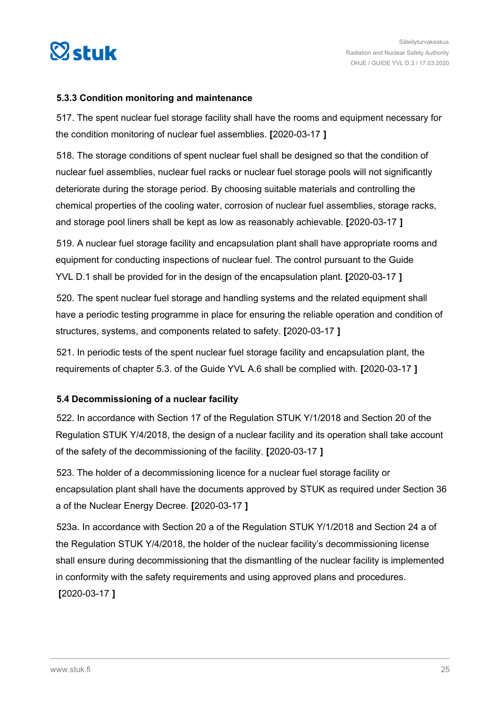<span id="page-24-0"></span>

## **5.3.3 Condition monitoring and maintenance**

517. The spent nuclear fuel storage facility shall have the rooms and equipment necessary for the condition monitoring of nuclear fuel assemblies. **[**2020-03-17 **]**

518. The storage conditions of spent nuclear fuel shall be designed so that the condition of nuclear fuel assemblies, nuclear fuel racks or nuclear fuel storage pools will not significantly deteriorate during the storage period. By choosing suitable materials and controlling the chemical properties of the cooling water, corrosion of nuclear fuel assemblies, storage racks, and storage pool liners shall be kept as low as reasonably achievable. **[**2020-03-17 **]**

519. A nuclear fuel storage facility and encapsulation plant shall have appropriate rooms and equipment for conducting inspections of nuclear fuel. The control pursuant to the Guide YVL D.1 shall be provided for in the design of the encapsulation plant. **[**2020-03-17 **]**

520. The spent nuclear fuel storage and handling systems and the related equipment shall have a periodic testing programme in place for ensuring the reliable operation and condition of structures, systems, and components related to safety. **[**2020-03-17 **]**

521. In periodic tests of the spent nuclear fuel storage facility and encapsulation plant, the requirements of chapter 5.3. of the Guide YVL A.6 shall be complied with. **[**2020-03-17 **]**

# **5.4 Decommissioning of a nuclear facility**

522. In accordance with Section 17 of the Regulation STUK Y/1/2018 and Section 20 of the Regulation STUK Y/4/2018, the design of a nuclear facility and its operation shall take account of the safety of the decommissioning of the facility. **[**2020-03-17 **]**

523. The holder of a decommissioning licence for a nuclear fuel storage facility or encapsulation plant shall have the documents approved by STUK as required under Section 36 a of the Nuclear Energy Decree. **[**2020-03-17 **]**

523a. In accordance with Section 20 a of the Regulation STUK Y/1/2018 and Section 24 a of the Regulation STUK Y/4/2018, the holder of the nuclear facility's decommissioning license shall ensure during decommissioning that the dismantling of the nuclear facility is implemented in conformity with the safety requirements and using approved plans and procedures.

**[**2020-03-17 **]**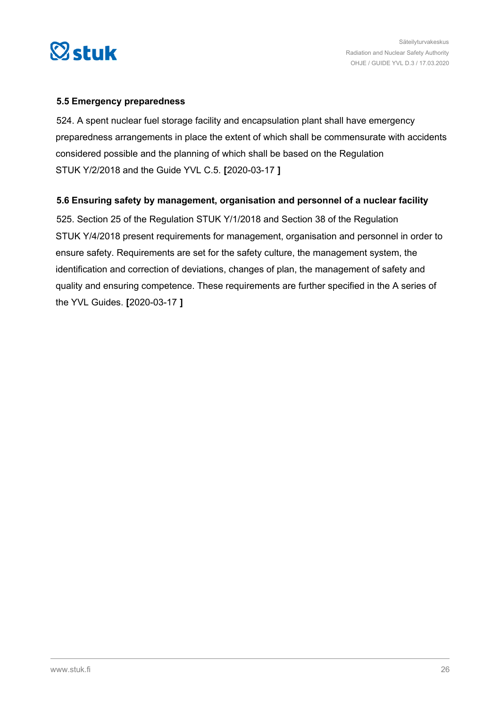<span id="page-25-0"></span>

### **5.5 Emergency preparedness**

524. A spent nuclear fuel storage facility and encapsulation plant shall have emergency preparedness arrangements in place the extent of which shall be commensurate with accidents considered possible and the planning of which shall be based on the Regulation STUK Y/2/2018 and the Guide YVL C.5. **[**2020-03-17 **]**

## **5.6 Ensuring safety by management, organisation and personnel of a nuclear facility**

525. Section 25 of the Regulation STUK Y/1/2018 and Section 38 of the Regulation STUK Y/4/2018 present requirements for management, organisation and personnel in order to ensure safety. Requirements are set for the safety culture, the management system, the identification and correction of deviations, changes of plan, the management of safety and quality and ensuring competence. These requirements are further specified in the A series of the YVL Guides. **[**2020-03-17 **]**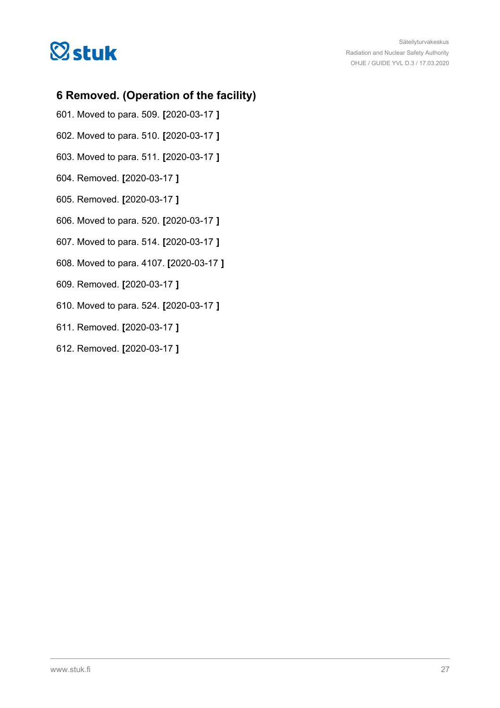<span id="page-26-0"></span>

# **6 Removed. (Operation of the facility)**

- 601. Moved to para. 509. **[**2020-03-17 **]**
- 602. Moved to para. 510. **[**2020-03-17 **]**
- 603. Moved to para. 511. **[**2020-03-17 **]**
- 604. Removed. **[**2020-03-17 **]**
- 605. Removed. **[**2020-03-17 **]**
- 606. Moved to para. 520. **[**2020-03-17 **]**
- 607. Moved to para. 514. **[**2020-03-17 **]**
- 608. Moved to para. 4107. **[**2020-03-17 **]**
- 609. Removed. **[**2020-03-17 **]**
- 610. Moved to para. 524. **[**2020-03-17 **]**
- 611. Removed. **[**2020-03-17 **]**
- 612. Removed. **[**2020-03-17 **]**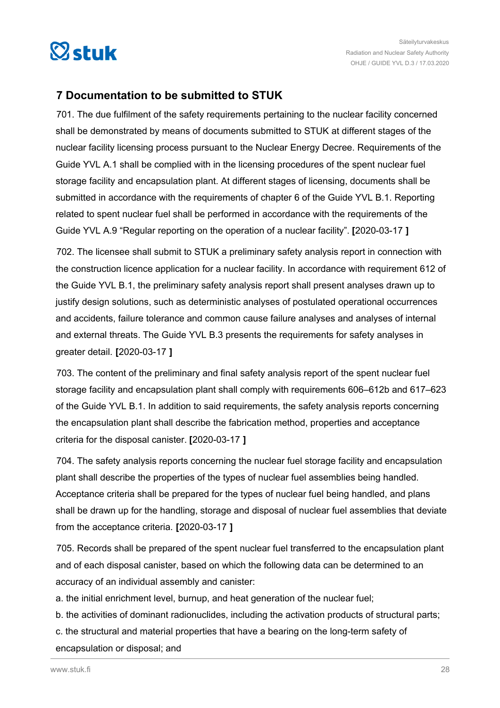<span id="page-27-0"></span>

# **7 Documentation to be submitted to STUK**

701. The due fulfilment of the safety requirements pertaining to the nuclear facility concerned shall be demonstrated by means of documents submitted to STUK at different stages of the nuclear facility licensing process pursuant to the Nuclear Energy Decree. Requirements of the Guide YVL A.1 shall be complied with in the licensing procedures of the spent nuclear fuel storage facility and encapsulation plant. At different stages of licensing, documents shall be submitted in accordance with the requirements of chapter 6 of the Guide YVL B.1. Reporting related to spent nuclear fuel shall be performed in accordance with the requirements of the Guide YVL A.9 "Regular reporting on the operation of a nuclear facility". **[**2020-03-17 **]**

702. The licensee shall submit to STUK a preliminary safety analysis report in connection with the construction licence application for a nuclear facility. In accordance with requirement 612 of the Guide YVL B.1, the preliminary safety analysis report shall present analyses drawn up to justify design solutions, such as deterministic analyses of postulated operational occurrences and accidents, failure tolerance and common cause failure analyses and analyses of internal and external threats. The Guide YVL B.3 presents the requirements for safety analyses in greater detail. **[**2020-03-17 **]**

703. The content of the preliminary and final safety analysis report of the spent nuclear fuel storage facility and encapsulation plant shall comply with requirements 606–612b and 617–623 of the Guide YVL B.1. In addition to said requirements, the safety analysis reports concerning the encapsulation plant shall describe the fabrication method, properties and acceptance criteria for the disposal canister. **[**2020-03-17 **]**

704. The safety analysis reports concerning the nuclear fuel storage facility and encapsulation plant shall describe the properties of the types of nuclear fuel assemblies being handled. Acceptance criteria shall be prepared for the types of nuclear fuel being handled, and plans shall be drawn up for the handling, storage and disposal of nuclear fuel assemblies that deviate from the acceptance criteria. **[**2020-03-17 **]**

705. Records shall be prepared of the spent nuclear fuel transferred to the encapsulation plant and of each disposal canister, based on which the following data can be determined to an accuracy of an individual assembly and canister:

a. the initial enrichment level, burnup, and heat generation of the nuclear fuel;

b. the activities of dominant radionuclides, including the activation products of structural parts;

c. the structural and material properties that have a bearing on the long-term safety of encapsulation or disposal; and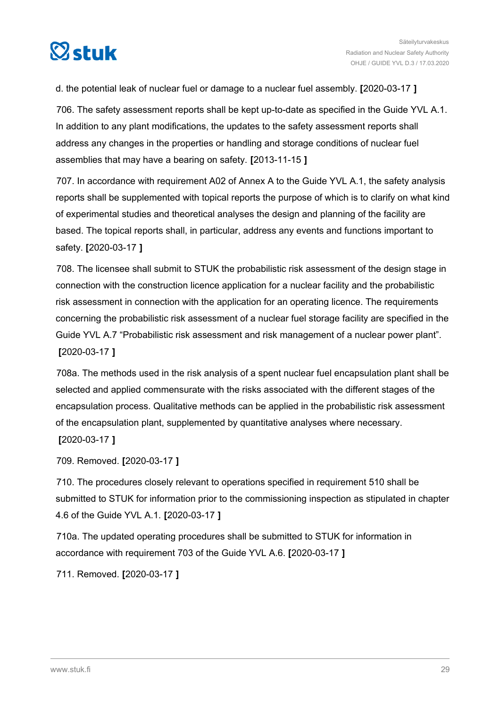

d. the potential leak of nuclear fuel or damage to a nuclear fuel assembly. **[**2020-03-17 **]**

706. The safety assessment reports shall be kept up-to-date as specified in the Guide YVL A.1. In addition to any plant modifications, the updates to the safety assessment reports shall address any changes in the properties or handling and storage conditions of nuclear fuel assemblies that may have a bearing on safety. **[**2013-11-15 **]**

707. In accordance with requirement A02 of Annex A to the Guide YVL A.1, the safety analysis reports shall be supplemented with topical reports the purpose of which is to clarify on what kind of experimental studies and theoretical analyses the design and planning of the facility are based. The topical reports shall, in particular, address any events and functions important to safety. **[**2020-03-17 **]**

708. The licensee shall submit to STUK the probabilistic risk assessment of the design stage in connection with the construction licence application for a nuclear facility and the probabilistic risk assessment in connection with the application for an operating licence. The requirements concerning the probabilistic risk assessment of a nuclear fuel storage facility are specified in the Guide YVL A.7 "Probabilistic risk assessment and risk management of a nuclear power plant". **[**2020-03-17 **]**

708a. The methods used in the risk analysis of a spent nuclear fuel encapsulation plant shall be selected and applied commensurate with the risks associated with the different stages of the encapsulation process. Qualitative methods can be applied in the probabilistic risk assessment of the encapsulation plant, supplemented by quantitative analyses where necessary. **[**2020-03-17 **]**

709. Removed. **[**2020-03-17 **]**

710. The procedures closely relevant to operations specified in requirement 510 shall be submitted to STUK for information prior to the commissioning inspection as stipulated in chapter 4.6 of the Guide YVL A.1. **[**2020-03-17 **]**

710a. The updated operating procedures shall be submitted to STUK for information in accordance with requirement 703 of the Guide YVL A.6. **[**2020-03-17 **]**

711. Removed. **[**2020-03-17 **]**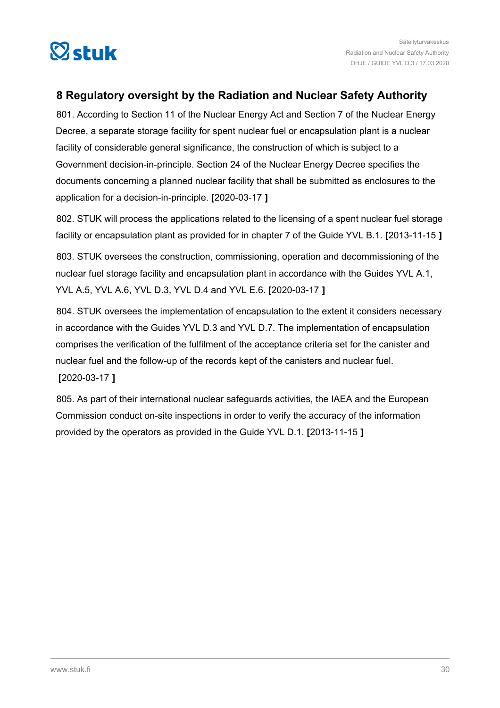<span id="page-29-0"></span>

# **8 Regulatory oversight by the Radiation and Nuclear Safety Authority**

801. According to Section 11 of the Nuclear Energy Act and Section 7 of the Nuclear Energy Decree, a separate storage facility for spent nuclear fuel or encapsulation plant is a nuclear facility of considerable general significance, the construction of which is subject to a Government decision-in-principle. Section 24 of the Nuclear Energy Decree specifies the documents concerning a planned nuclear facility that shall be submitted as enclosures to the application for a decision-in-principle. **[**2020-03-17 **]**

802. STUK will process the applications related to the licensing of a spent nuclear fuel storage facility or encapsulation plant as provided for in chapter 7 of the Guide YVL B.1. **[**2013-11-15 **]**

803. STUK oversees the construction, commissioning, operation and decommissioning of the nuclear fuel storage facility and encapsulation plant in accordance with the Guides YVL A.1, YVL A.5, YVL A.6, YVL D.3, YVL D.4 and YVL E.6. **[**2020-03-17 **]**

804. STUK oversees the implementation of encapsulation to the extent it considers necessary in accordance with the Guides YVL D.3 and YVL D.7. The implementation of encapsulation comprises the verification of the fulfilment of the acceptance criteria set for the canister and nuclear fuel and the follow-up of the records kept of the canisters and nuclear fuel. **[**2020-03-17 **]**

805. As part of their international nuclear safeguards activities, the IAEA and the European Commission conduct on-site inspections in order to verify the accuracy of the information provided by the operators as provided in the Guide YVL D.1. **[**2013-11-15 **]**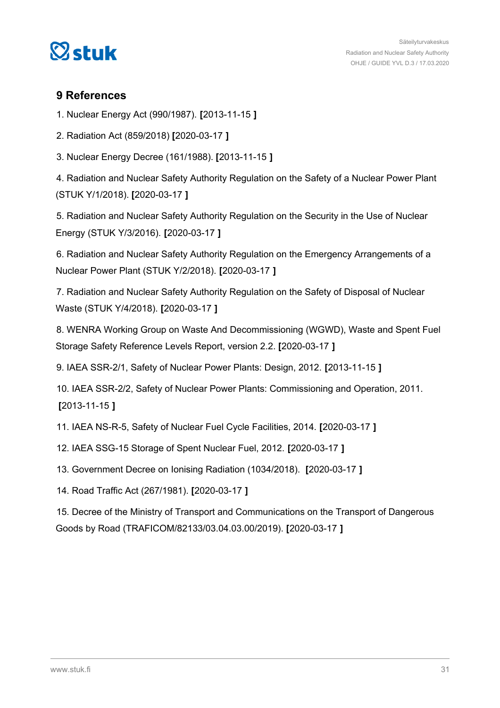<span id="page-30-0"></span>

# **9 References**

1. Nuclear Energy Act (990/1987). **[**2013-11-15 **]**

2. Radiation Act (859/2018) **[**2020-03-17 **]**

3. Nuclear Energy Decree (161/1988). **[**2013-11-15 **]**

4. Radiation and Nuclear Safety Authority Regulation on the Safety of a Nuclear Power Plant (STUK Y/1/2018). **[**2020-03-17 **]**

5. Radiation and Nuclear Safety Authority Regulation on the Security in the Use of Nuclear Energy (STUK Y/3/2016). **[**2020-03-17 **]**

6. Radiation and Nuclear Safety Authority Regulation on the Emergency Arrangements of a Nuclear Power Plant (STUK Y/2/2018). **[**2020-03-17 **]**

7. Radiation and Nuclear Safety Authority Regulation on the Safety of Disposal of Nuclear Waste (STUK Y/4/2018). **[**2020-03-17 **]**

8. WENRA Working Group on Waste And Decommissioning (WGWD), Waste and Spent Fuel Storage Safety Reference Levels Report, version 2.2. **[**2020-03-17 **]**

9. IAEA SSR-2/1, Safety of Nuclear Power Plants: Design, 2012. **[**2013-11-15 **]**

10. IAEA SSR-2/2, Safety of Nuclear Power Plants: Commissioning and Operation, 2011. **[**2013-11-15 **]**

11. IAEA NS-R-5, Safety of Nuclear Fuel Cycle Facilities, 2014. **[**2020-03-17 **]**

12. IAEA SSG-15 Storage of Spent Nuclear Fuel, 2012. **[**2020-03-17 **]**

13. Government Decree on Ionising Radiation (1034/2018). **[**2020-03-17 **]**

14. Road Traffic Act (267/1981). **[**2020-03-17 **]**

15. Decree of the Ministry of Transport and Communications on the Transport of Dangerous Goods by Road (TRAFICOM/82133/03.04.03.00/2019). **[**2020-03-17 **]**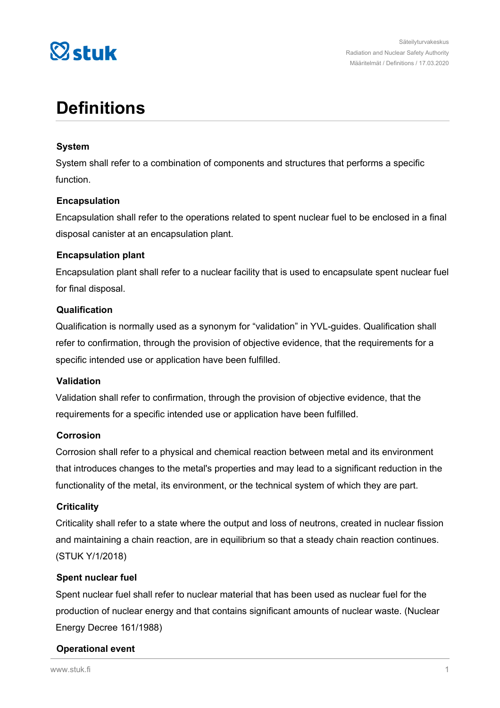

# **Definitions**

## **System**

System shall refer to a combination of components and structures that performs a specific function.

## **Encapsulation**

Encapsulation shall refer to the operations related to spent nuclear fuel to be enclosed in a final disposal canister at an encapsulation plant.

## **Encapsulation plant**

Encapsulation plant shall refer to a nuclear facility that is used to encapsulate spent nuclear fuel for final disposal.

## **Qualification**

Qualification is normally used as a synonym for "validation" in YVL-guides. Qualification shall refer to confirmation, through the provision of objective evidence, that the requirements for a specific intended use or application have been fulfilled.

# **Validation**

Validation shall refer to confirmation, through the provision of objective evidence, that the requirements for a specific intended use or application have been fulfilled.

### **Corrosion**

Corrosion shall refer to a physical and chemical reaction between metal and its environment that introduces changes to the metal's properties and may lead to a significant reduction in the functionality of the metal, its environment, or the technical system of which they are part.

### **Criticality**

Criticality shall refer to a state where the output and loss of neutrons, created in nuclear fission and maintaining a chain reaction, are in equilibrium so that a steady chain reaction continues. (STUK Y/1/2018)

### **Spent nuclear fuel**

Spent nuclear fuel shall refer to nuclear material that has been used as nuclear fuel for the production of nuclear energy and that contains significant amounts of nuclear waste. (Nuclear Energy Decree 161/1988)

### **Operational event**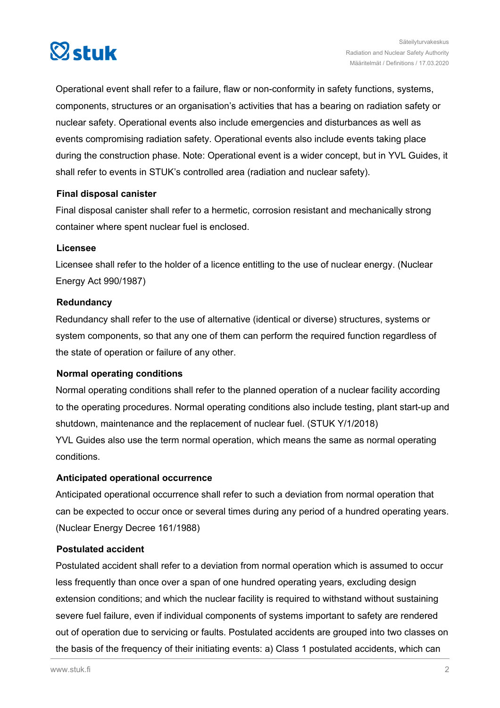

Operational event shall refer to a failure, flaw or non-conformity in safety functions, systems, components, structures or an organisation's activities that has a bearing on radiation safety or nuclear safety. Operational events also include emergencies and disturbances as well as events compromising radiation safety. Operational events also include events taking place during the construction phase. Note: Operational event is a wider concept, but in YVL Guides, it shall refer to events in STUK's controlled area (radiation and nuclear safety).

## **Final disposal canister**

Final disposal canister shall refer to a hermetic, corrosion resistant and mechanically strong container where spent nuclear fuel is enclosed.

## **Licensee**

Licensee shall refer to the holder of a licence entitling to the use of nuclear energy. (Nuclear Energy Act 990/1987)

## **Redundancy**

Redundancy shall refer to the use of alternative (identical or diverse) structures, systems or system components, so that any one of them can perform the required function regardless of the state of operation or failure of any other.

# **Normal operating conditions**

Normal operating conditions shall refer to the planned operation of a nuclear facility according to the operating procedures. Normal operating conditions also include testing, plant start-up and shutdown, maintenance and the replacement of nuclear fuel. (STUK Y/1/2018) YVL Guides also use the term normal operation, which means the same as normal operating conditions.

# **Anticipated operational occurrence**

Anticipated operational occurrence shall refer to such a deviation from normal operation that can be expected to occur once or several times during any period of a hundred operating years. (Nuclear Energy Decree 161/1988)

## **Postulated accident**

Postulated accident shall refer to a deviation from normal operation which is assumed to occur less frequently than once over a span of one hundred operating years, excluding design extension conditions; and which the nuclear facility is required to withstand without sustaining severe fuel failure, even if individual components of systems important to safety are rendered out of operation due to servicing or faults. Postulated accidents are grouped into two classes on the basis of the frequency of their initiating events: a) Class 1 postulated accidents, which can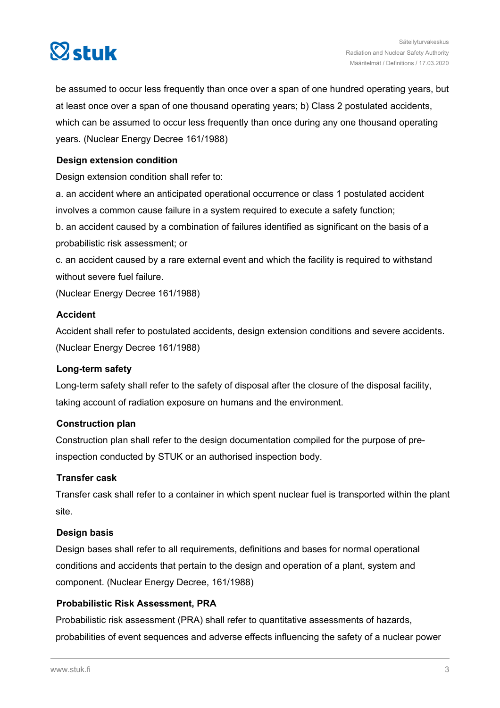

be assumed to occur less frequently than once over a span of one hundred operating years, but at least once over a span of one thousand operating years; b) Class 2 postulated accidents, which can be assumed to occur less frequently than once during any one thousand operating years. (Nuclear Energy Decree 161/1988)

# **Design extension condition**

Design extension condition shall refer to:

a. an accident where an anticipated operational occurrence or class 1 postulated accident involves a common cause failure in a system required to execute a safety function;

b. an accident caused by a combination of failures identified as significant on the basis of a probabilistic risk assessment; or

c. an accident caused by a rare external event and which the facility is required to withstand without severe fuel failure.

(Nuclear Energy Decree 161/1988)

## **Accident**

Accident shall refer to postulated accidents, design extension conditions and severe accidents. (Nuclear Energy Decree 161/1988)

### **Long-term safety**

Long-term safety shall refer to the safety of disposal after the closure of the disposal facility, taking account of radiation exposure on humans and the environment.

### **Construction plan**

Construction plan shall refer to the design documentation compiled for the purpose of preinspection conducted by STUK or an authorised inspection body.

### **Transfer cask**

Transfer cask shall refer to a container in which spent nuclear fuel is transported within the plant site.

### **Design basis**

Design bases shall refer to all requirements, definitions and bases for normal operational conditions and accidents that pertain to the design and operation of a plant, system and component. (Nuclear Energy Decree, 161/1988)

# **Probabilistic Risk Assessment, PRA**

Probabilistic risk assessment (PRA) shall refer to quantitative assessments of hazards, probabilities of event sequences and adverse effects influencing the safety of a nuclear power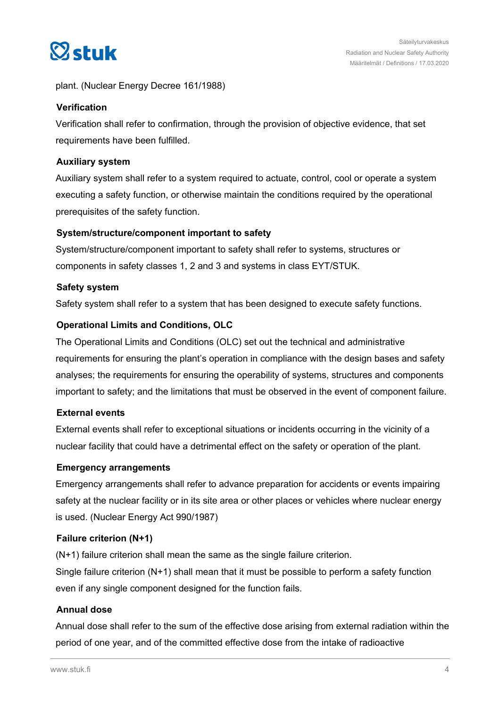

plant. (Nuclear Energy Decree 161/1988)

## **Verification**

Verification shall refer to confirmation, through the provision of objective evidence, that set requirements have been fulfilled.

### **Auxiliary system**

Auxiliary system shall refer to a system required to actuate, control, cool or operate a system executing a safety function, or otherwise maintain the conditions required by the operational prerequisites of the safety function.

## **System/structure/component important to safety**

System/structure/component important to safety shall refer to systems, structures or components in safety classes 1, 2 and 3 and systems in class EYT/STUK.

## **Safety system**

Safety system shall refer to a system that has been designed to execute safety functions.

## **Operational Limits and Conditions, OLC**

The Operational Limits and Conditions (OLC) set out the technical and administrative requirements for ensuring the plant's operation in compliance with the design bases and safety analyses; the requirements for ensuring the operability of systems, structures and components important to safety; and the limitations that must be observed in the event of component failure.

### **External events**

External events shall refer to exceptional situations or incidents occurring in the vicinity of a nuclear facility that could have a detrimental effect on the safety or operation of the plant.

### **Emergency arrangements**

Emergency arrangements shall refer to advance preparation for accidents or events impairing safety at the nuclear facility or in its site area or other places or vehicles where nuclear energy is used. (Nuclear Energy Act 990/1987)

### **Failure criterion (N+1)**

(N+1) failure criterion shall mean the same as the single failure criterion. Single failure criterion (N+1) shall mean that it must be possible to perform a safety function even if any single component designed for the function fails.

### **Annual dose**

Annual dose shall refer to the sum of the effective dose arising from external radiation within the period of one year, and of the committed effective dose from the intake of radioactive